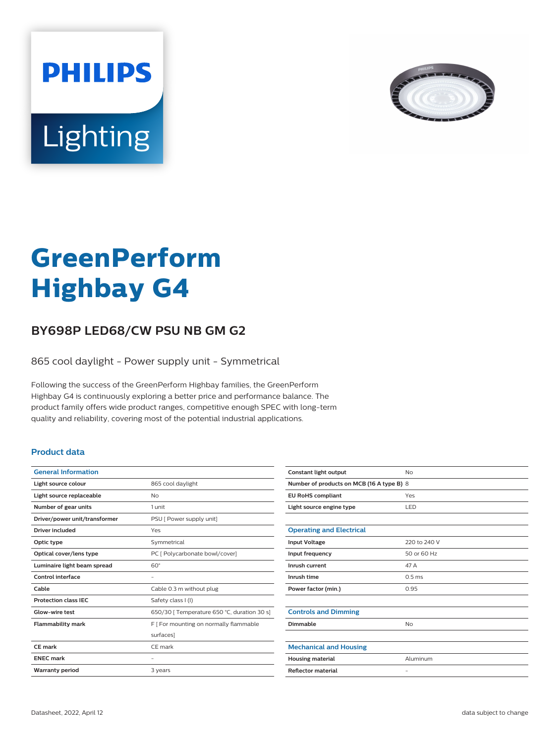



# **GreenPerform Highbay G4**

## **BY698P LED68/CW PSU NB GM G2**

865 cool daylight - Power supply unit - Symmetrical

Following the success of the GreenPerform Highbay families, the GreenPerform Highbay G4 is continuously exploring a better price and performance balance. The product family offers wide product ranges, competitive enough SPEC with long-term quality and reliability, covering most of the potential industrial applications.

#### **Product data**

| <b>General Information</b>    |                                             |
|-------------------------------|---------------------------------------------|
| Light source colour           | 865 cool daylight                           |
| Light source replaceable      | No                                          |
| Number of gear units          | 1 unit                                      |
| Driver/power unit/transformer | PSU [ Power supply unit]                    |
| <b>Driver included</b>        | Yes                                         |
| Optic type                    | Symmetrical                                 |
| Optical cover/lens type       | PC [ Polycarbonate bowl/cover]              |
| Luminaire light beam spread   | $60^\circ$                                  |
| Control interface             |                                             |
| Cable                         | Cable 0.3 m without plug                    |
| <b>Protection class IEC</b>   | Safety class I (I)                          |
| Glow-wire test                | 650/30   Temperature 650 °C, duration 30 s] |
| <b>Flammability mark</b>      | F [ For mounting on normally flammable      |
|                               | surfaces]                                   |
| CE mark                       | CF mark                                     |
| <b>FNFC</b> mark              |                                             |
| <b>Warranty period</b>        | 3 years                                     |
|                               |                                             |

| Constant light output                     | No                |  |
|-------------------------------------------|-------------------|--|
| Number of products on MCB (16 A type B) 8 |                   |  |
| <b>EU RoHS compliant</b>                  | Yes               |  |
| Light source engine type                  | LED               |  |
|                                           |                   |  |
| <b>Operating and Electrical</b>           |                   |  |
| <b>Input Voltage</b>                      | 220 to 240 V      |  |
| Input frequency                           | 50 or 60 Hz       |  |
| Inrush current                            | 47 A              |  |
| Inrush time                               | 0.5 <sub>ms</sub> |  |
| Power factor (min.)                       | 0.95              |  |
|                                           |                   |  |
| <b>Controls and Dimming</b>               |                   |  |
| Dimmable                                  | <b>No</b>         |  |
|                                           |                   |  |
| <b>Mechanical and Housing</b>             |                   |  |
| <b>Housing material</b>                   | Aluminum          |  |
| <b>Reflector material</b>                 | $\qquad \qquad -$ |  |
|                                           |                   |  |